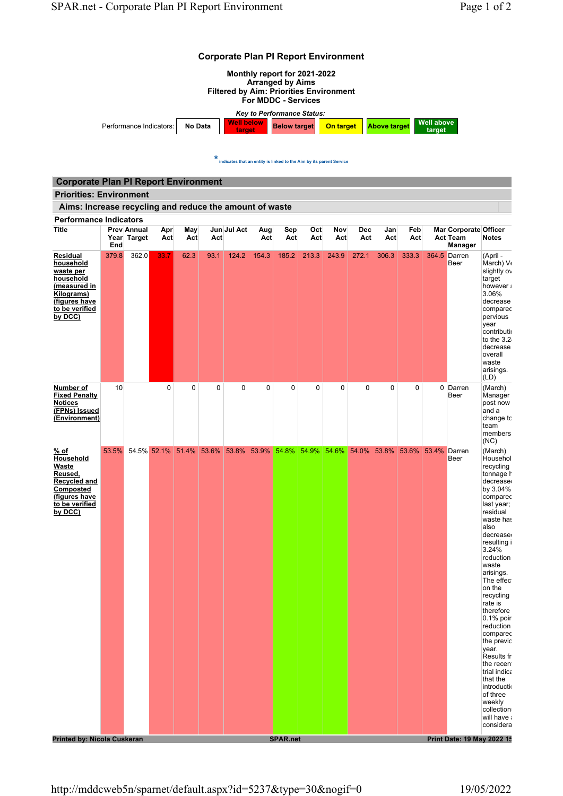





 $\star$  indicates that an entity is linked to the Aim by its parent Service

| <b>Corporate Plan PI Report Environment</b>                                                                                    |       |                                   |             |            |             |                                                       |            |             |            |            |                   |                                |            |                                                                   |                                                                                                                                                                                                                                                                                                                                                                                                                                                                           |
|--------------------------------------------------------------------------------------------------------------------------------|-------|-----------------------------------|-------------|------------|-------------|-------------------------------------------------------|------------|-------------|------------|------------|-------------------|--------------------------------|------------|-------------------------------------------------------------------|---------------------------------------------------------------------------------------------------------------------------------------------------------------------------------------------------------------------------------------------------------------------------------------------------------------------------------------------------------------------------------------------------------------------------------------------------------------------------|
| <b>Priorities: Environment</b>                                                                                                 |       |                                   |             |            |             |                                                       |            |             |            |            |                   |                                |            |                                                                   |                                                                                                                                                                                                                                                                                                                                                                                                                                                                           |
| Aims: Increase recycling and reduce the amount of waste                                                                        |       |                                   |             |            |             |                                                       |            |             |            |            |                   |                                |            |                                                                   |                                                                                                                                                                                                                                                                                                                                                                                                                                                                           |
| <b>Performance Indicators</b><br>Title                                                                                         | End   | <b>Prev Annual</b><br>Year Target | Apr<br>Act  | May<br>Act | Act         | Jun Jul Act                                           | Aug<br>Act | Sep<br>Act  | Oct<br>Act | Nov<br>Act | <b>Dec</b><br>Act | Jan<br>Act                     | Feb<br>Act | <b>Mar Corporate Officer</b><br><b>Act Team</b><br><b>Manager</b> | <b>Notes</b>                                                                                                                                                                                                                                                                                                                                                                                                                                                              |
| Residual<br>household<br>waste per<br>household<br>(measured in<br>Kilograms)<br>(figures have<br>to be verified<br>by DCC)    | 379.8 | 362.0                             | 33.7        | 62.3       | 93.1        | 124.2                                                 | 154.3      | 185.2       | 213.3      | 243.9      | 272.1             | 306.3                          | 333.3      | 364.5 Darren<br>Beer                                              | (April -<br>March) V<br>slightly ov<br>target<br>however:<br>3.06%<br>decrease<br>comparec<br>pervious<br>year<br>contributii<br>to the $3.2$<br>decrease<br>overall<br>waste<br>arisings.<br>(LD)                                                                                                                                                                                                                                                                        |
| Number of<br><b>Fixed Penalty</b><br><b>Notices</b><br>(FPNs) Issued<br>(Environment)                                          | 10    |                                   | $\mathbf 0$ | 0          | $\mathbf 0$ | $\mathbf 0$                                           | 0          | $\mathbf 0$ | 0          | 0          | 0                 | 0                              | 0          | 0 Darren<br>Beer                                                  | (March)<br>Manager<br>post now<br>and a<br>change tc<br>team<br>members<br>(NC)                                                                                                                                                                                                                                                                                                                                                                                           |
| <u>% of</u><br><b>Household</b><br>Waste<br>Reused.<br>Recycled and<br>Composted<br>(figures have<br>to be verified<br>by DCC) | 53.5% |                                   |             |            |             | 54.5% 52.1% 51.4% 53.6% 53.8% 53.9% 54.8% 54.9% 54.6% |            |             |            |            |                   | 54.0% 53.8% 53.6% 53.4% Darren |            | Beer                                                              | (March)<br>Househol<br>recycling<br>tonnage h<br>decrease<br>by 3.04%<br>comparec<br>last year;<br>residual<br>waste has<br>also<br>decrease<br>resulting i<br>3.24%<br>reduction<br>waste<br>arisings.<br>The effec<br>on the<br>recycling<br>rate is<br>therefore<br>$0.1\%$ poir<br>reduction<br>comparec<br>the previc<br>year.<br>Results fr<br>the recen<br>trial indica<br>that the<br>introductio<br>of three<br>weekly<br>collection<br>will have a<br>considera |